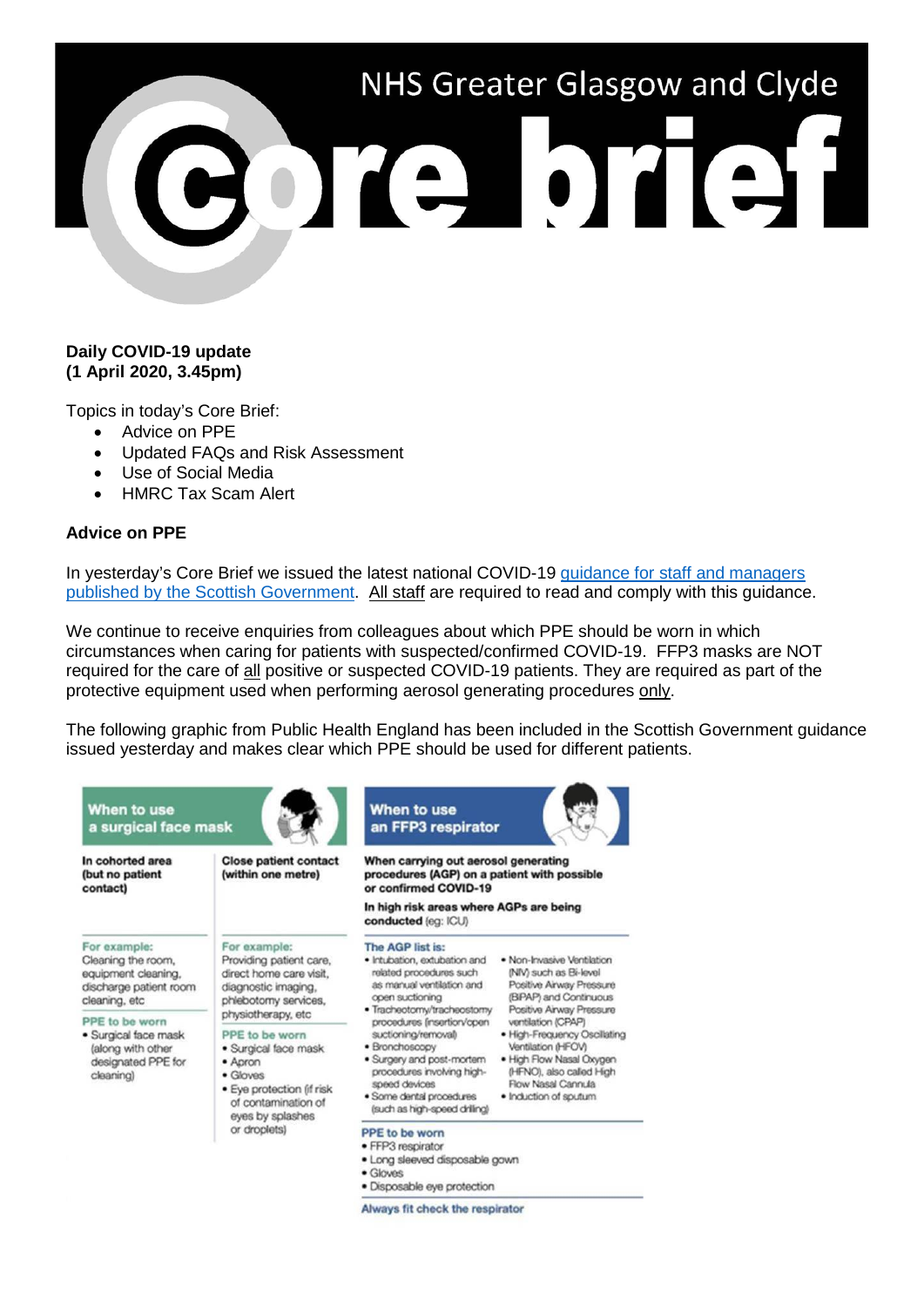# NHS Greater Glasgow and Clyde en

# **Daily COVID-19 update (1 April 2020, 3.45pm)**

Topics in today's Core Brief:

- Advice on PPE
- Updated FAQs and Risk Assessment
- Use of Social Media
- HMRC Tax Scam Alert

# **Advice on PPE**

In yesterday's Core Brief we issued the latest national COVID-19 [guidance for staff and managers](https://www.staffgovernance.scot.nhs.uk/coronavirus-covid-19/guidance/)  [published by the Scottish Government.](https://www.staffgovernance.scot.nhs.uk/coronavirus-covid-19/guidance/) All staff are required to read and comply with this guidance.

We continue to receive enquiries from colleagues about which PPE should be worn in which circumstances when caring for patients with suspected/confirmed COVID-19. FFP3 masks are NOT required for the care of all positive or suspected COVID-19 patients. They are required as part of the protective equipment used when performing aerosol generating procedures only.

The following graphic from Public Health England has been included in the Scottish Government guidance issued yesterday and makes clear which PPE should be used for different patients.